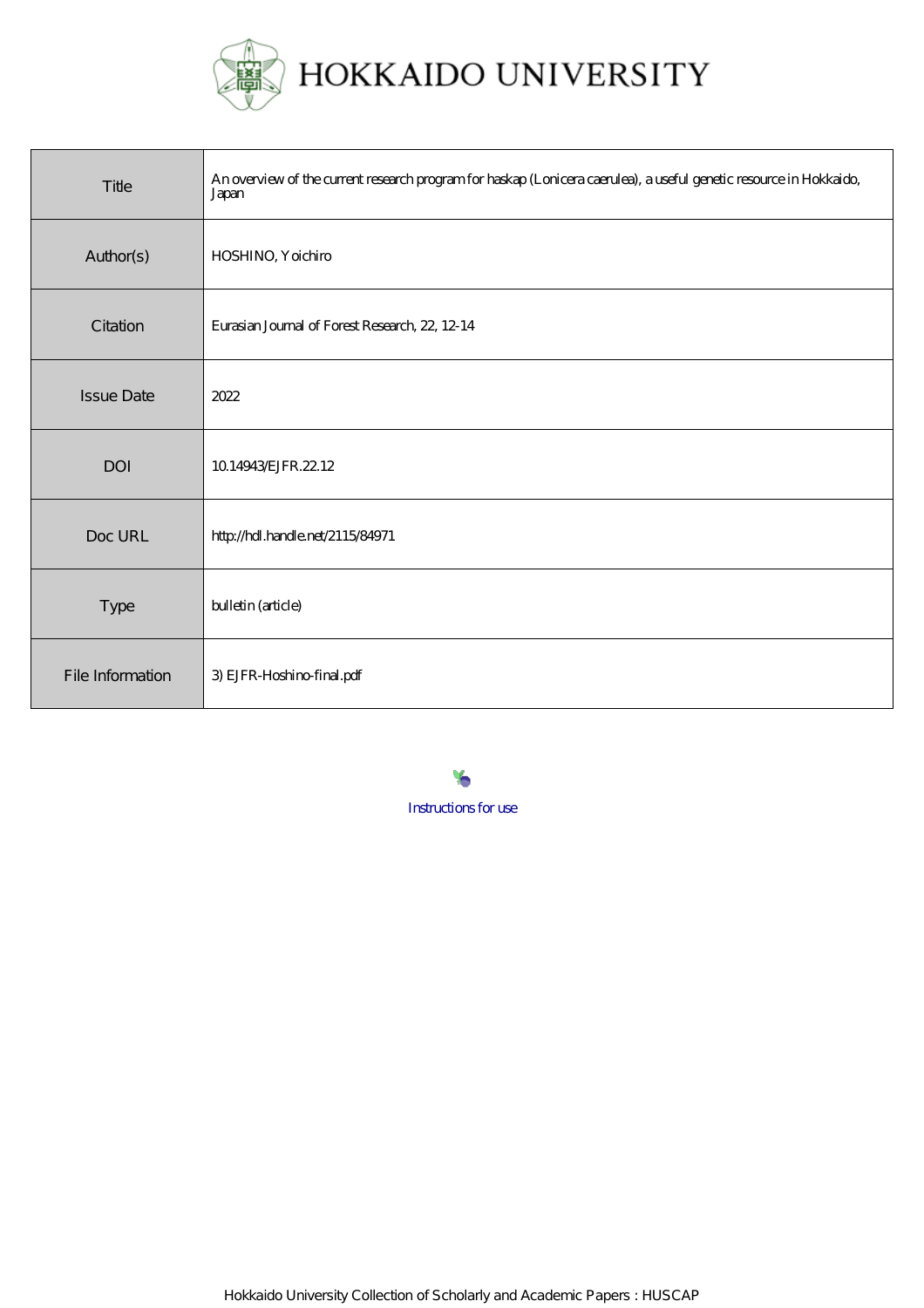

| Title             | An overview of the current research program for haskap (Lonicera caerulea), a useful genetic resource in Hokkaido,<br>Japan |
|-------------------|-----------------------------------------------------------------------------------------------------------------------------|
| Author(s)         | HOSHINO, Yoichiro                                                                                                           |
| Citation          | Eurasian Journal of Forest Research, 22, 12-14                                                                              |
| <b>Issue Date</b> | 2022                                                                                                                        |
| DOI               | 10.14943 EJFR, 22.12                                                                                                        |
| Doc URL           | http://hdl.handle.net/2115/84971                                                                                            |
| Type              | bulletin (article)                                                                                                          |
| File Information  | 3) EJFR-Hoshino-final.pdf                                                                                                   |

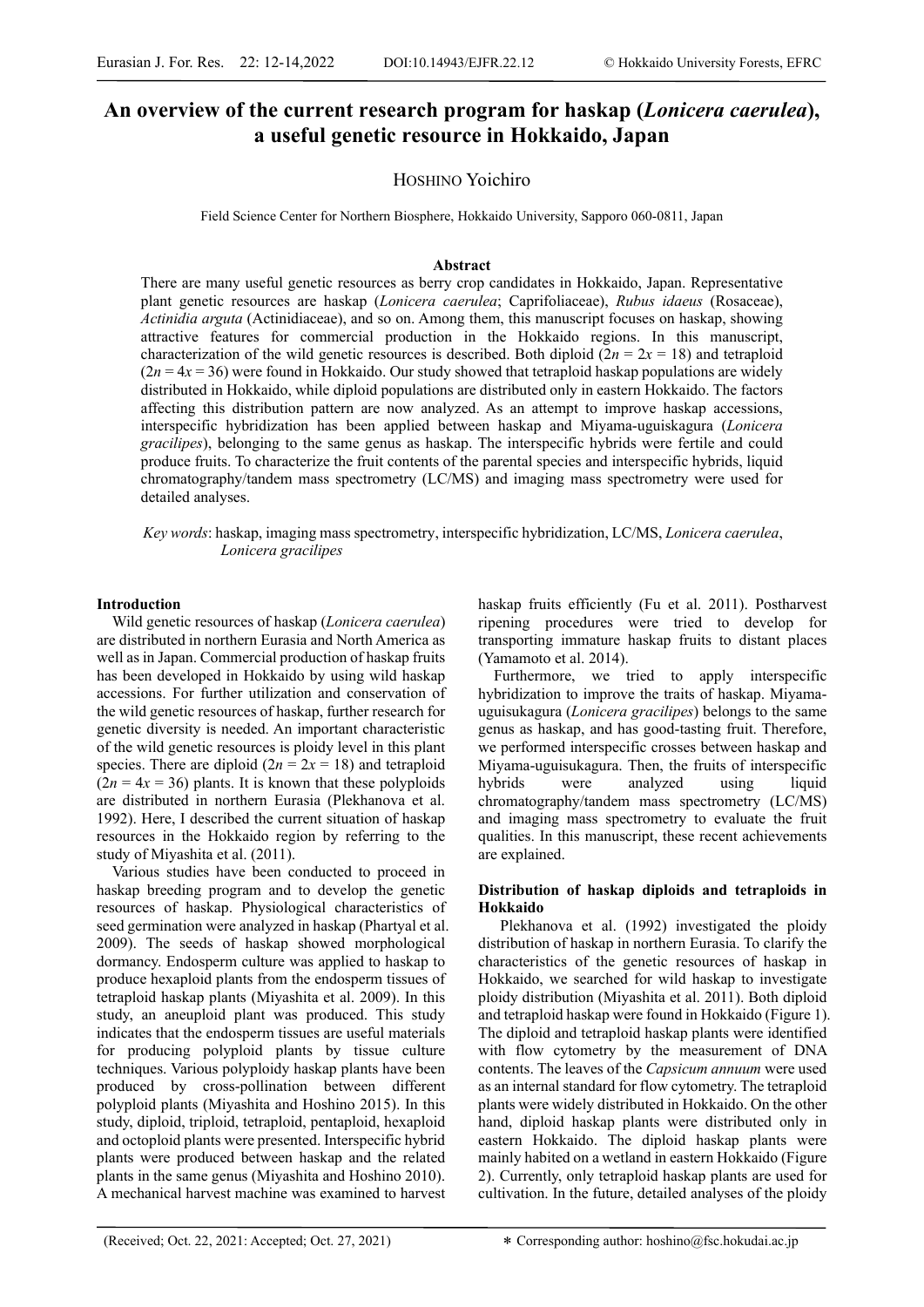# **An overview of the current research program for haskap (***Lonicera caerulea***), a useful genetic resource in Hokkaido, Japan**

## HOSHINO Yoichiro

Field Science Center for Northern Biosphere, Hokkaido University, Sapporo 060-0811, Japan

#### **Abstract**

There are many useful genetic resources as berry crop candidates in Hokkaido, Japan. Representative plant genetic resources are haskap (*Lonicera caerulea*; Caprifoliaceae), *Rubus idaeus* (Rosaceae), *Actinidia arguta* (Actinidiaceae), and so on. Among them, this manuscript focuses on haskap, showing attractive features for commercial production in the Hokkaido regions. In this manuscript, characterization of the wild genetic resources is described. Both diploid  $(2n = 2x = 18)$  and tetraploid  $(2n = 4x = 36)$  were found in Hokkaido. Our study showed that tetraploid haskap populations are widely distributed in Hokkaido, while diploid populations are distributed only in eastern Hokkaido. The factors affecting this distribution pattern are now analyzed. As an attempt to improve haskap accessions, interspecific hybridization has been applied between haskap and Miyama-uguiskagura (*Lonicera gracilipes*), belonging to the same genus as haskap. The interspecific hybrids were fertile and could produce fruits. To characterize the fruit contents of the parental species and interspecific hybrids, liquid chromatography/tandem mass spectrometry (LC/MS) and imaging mass spectrometry were used for detailed analyses.

*Key words*: haskap, imaging mass spectrometry, interspecific hybridization, LC/MS, *Lonicera caerulea*, *Lonicera gracilipes*

### **Introduction**

Wild genetic resources of haskap (*Lonicera caerulea*) are distributed in northern Eurasia and North America as well as in Japan. Commercial production of haskap fruits has been developed in Hokkaido by using wild haskap accessions. For further utilization and conservation of the wild genetic resources of haskap, further research for genetic diversity is needed. An important characteristic of the wild genetic resources is ploidy level in this plant species. There are diploid  $(2n = 2x = 18)$  and tetraploid  $(2n = 4x = 36)$  plants. It is known that these polyploids are distributed in northern Eurasia (Plekhanova et al. 1992). Here, I described the current situation of haskap resources in the Hokkaido region by referring to the study of Miyashita et al. (2011).

Various studies have been conducted to proceed in haskap breeding program and to develop the genetic resources of haskap. Physiological characteristics of seed germination were analyzed in haskap (Phartyal et al. 2009). The seeds of haskap showed morphological dormancy. Endosperm culture was applied to haskap to produce hexaploid plants from the endosperm tissues of tetraploid haskap plants (Miyashita et al. 2009). In this study, an aneuploid plant was produced. This study indicates that the endosperm tissues are useful materials for producing polyploid plants by tissue culture techniques. Various polyploidy haskap plants have been produced by cross-pollination between different polyploid plants (Miyashita and Hoshino 2015). In this study, diploid, triploid, tetraploid, pentaploid, hexaploid and octoploid plants were presented. Interspecific hybrid plants were produced between haskap and the related plants in the same genus (Miyashita and Hoshino 2010). A mechanical harvest machine was examined to harvest

haskap fruits efficiently (Fu et al. 2011). Postharvest ripening procedures were tried to develop for transporting immature haskap fruits to distant places (Yamamoto et al. 2014).

Furthermore, we tried to apply interspecific hybridization to improve the traits of haskap. Miyamauguisukagura (*Lonicera gracilipes*) belongs to the same genus as haskap, and has good-tasting fruit. Therefore, we performed interspecific crosses between haskap and Miyama-uguisukagura. Then, the fruits of interspecific hybrids were analyzed using liquid chromatography/tandem mass spectrometry (LC/MS) and imaging mass spectrometry to evaluate the fruit qualities. In this manuscript, these recent achievements are explained.

## **Distribution of haskap diploids and tetraploids in Hokkaido**

Plekhanova et al. (1992) investigated the ploidy distribution of haskap in northern Eurasia. To clarify the characteristics of the genetic resources of haskap in Hokkaido, we searched for wild haskap to investigate ploidy distribution (Miyashita et al. 2011). Both diploid and tetraploid haskap were found in Hokkaido (Figure 1). The diploid and tetraploid haskap plants were identified with flow cytometry by the measurement of DNA contents. The leaves of the *Capsicum annuum* were used as an internal standard for flow cytometry. The tetraploid plants were widely distributed in Hokkaido. On the other hand, diploid haskap plants were distributed only in eastern Hokkaido. The diploid haskap plants were mainly habited on a wetland in eastern Hokkaido (Figure 2). Currently, only tetraploid haskap plants are used for cultivation. In the future, detailed analyses of the ploidy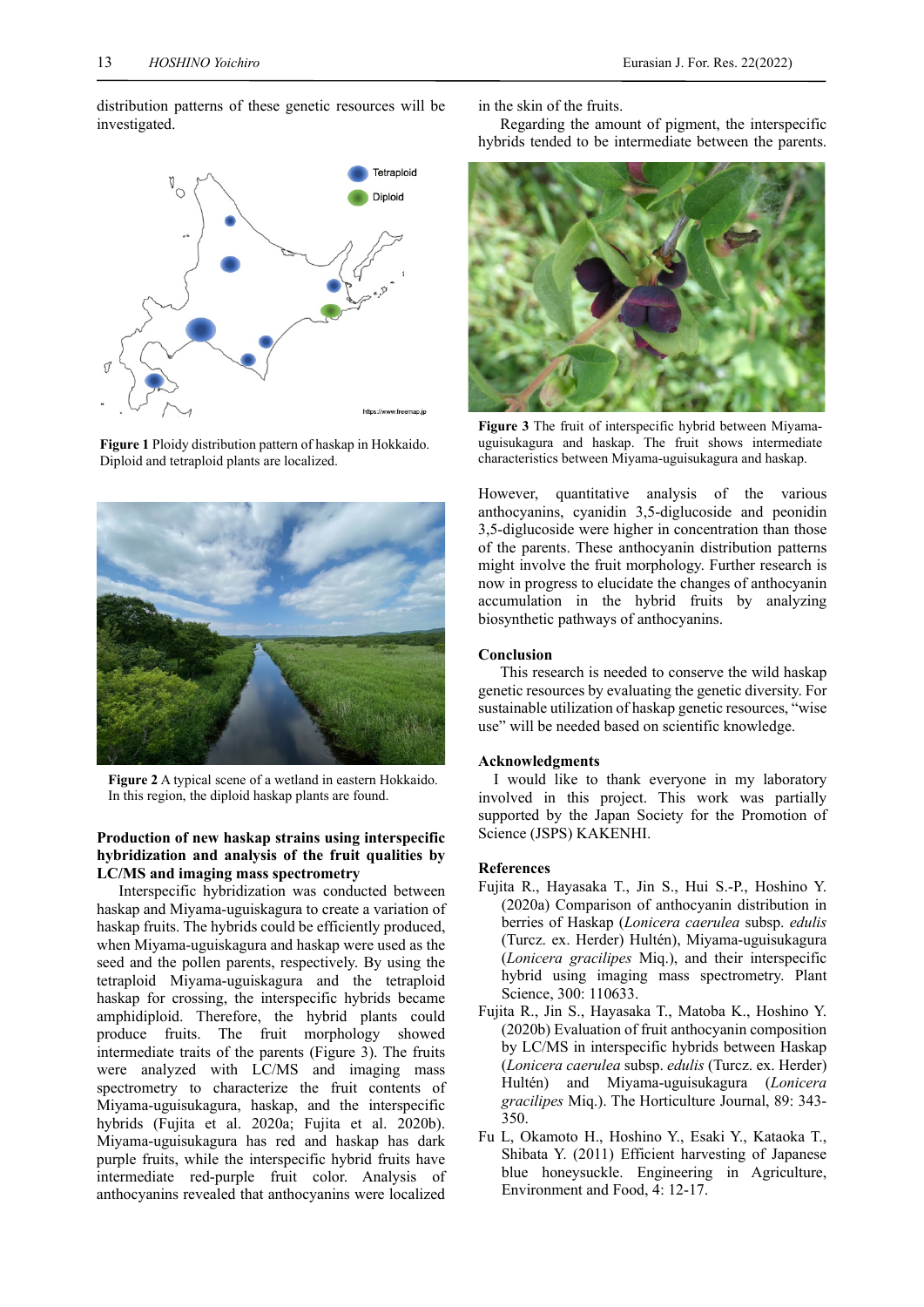distribution patterns of these genetic resources will be investigated.



**Figure 1** Ploidy distribution pattern of haskap in Hokkaido. Diploid and tetraploid plants are localized.



**Figure 2** A typical scene of a wetland in eastern Hokkaido. In this region, the diploid haskap plants are found.

## **Production of new haskap strains using interspecific hybridization and analysis of the fruit qualities by LC/MS and imaging mass spectrometry**

Interspecific hybridization was conducted between haskap and Miyama-uguiskagura to create a variation of haskap fruits. The hybrids could be efficiently produced, when Miyama-uguiskagura and haskap were used as the seed and the pollen parents, respectively. By using the tetraploid Miyama-uguiskagura and the tetraploid haskap for crossing, the interspecific hybrids became amphidiploid. Therefore, the hybrid plants could produce fruits. The fruit morphology showed intermediate traits of the parents (Figure 3). The fruits were analyzed with LC/MS and imaging mass spectrometry to characterize the fruit contents of Miyama-uguisukagura, haskap, and the interspecific hybrids (Fujita et al. 2020a; Fujita et al. 2020b). Miyama-uguisukagura has red and haskap has dark purple fruits, while the interspecific hybrid fruits have intermediate red-purple fruit color. Analysis of anthocyanins revealed that anthocyanins were localized

in the skin of the fruits.

Regarding the amount of pigment, the interspecific hybrids tended to be intermediate between the parents.



**Figure 3** The fruit of interspecific hybrid between Miyamauguisukagura and haskap. The fruit shows intermediate characteristics between Miyama-uguisukagura and haskap.

However, quantitative analysis of the various anthocyanins, cyanidin 3,5-diglucoside and peonidin 3,5-diglucoside were higher in concentration than those of the parents. These anthocyanin distribution patterns might involve the fruit morphology. Further research is now in progress to elucidate the changes of anthocyanin accumulation in the hybrid fruits by analyzing biosynthetic pathways of anthocyanins.

## **Conclusion**

This research is needed to conserve the wild haskap genetic resources by evaluating the genetic diversity. For sustainable utilization of haskap genetic resources, "wise use" will be needed based on scientific knowledge.

#### **Acknowledgments**

I would like to thank everyone in my laboratory involved in this project. This work was partially supported by the Japan Society for the Promotion of Science (JSPS) KAKENHI.

#### **References**

- Fujita R., Hayasaka T., Jin S., Hui S.-P., Hoshino Y. (2020a) Comparison of anthocyanin distribution in berries of Haskap (*Lonicera caerulea* subsp. *edulis* (Turcz. ex. Herder) Hultén), Miyama-uguisukagura (*Lonicera gracilipes* Miq.), and their interspecific hybrid using imaging mass spectrometry. Plant Science, 300: 110633.
- Fujita R., Jin S., Hayasaka T., Matoba K., Hoshino Y. (2020b) Evaluation of fruit anthocyanin composition by LC/MS in interspecific hybrids between Haskap (*Lonicera caerulea* subsp. *edulis* (Turcz. ex. Herder) Hultén) and Miyama-uguisukagura (*Lonicera gracilipes* Miq.). The Horticulture Journal, 89: 343- 350.
- Fu L, Okamoto H., Hoshino Y., Esaki Y., Kataoka T., Shibata Y. (2011) Efficient harvesting of Japanese blue honeysuckle. Engineering in Agriculture, Environment and Food, 4: 12-17.